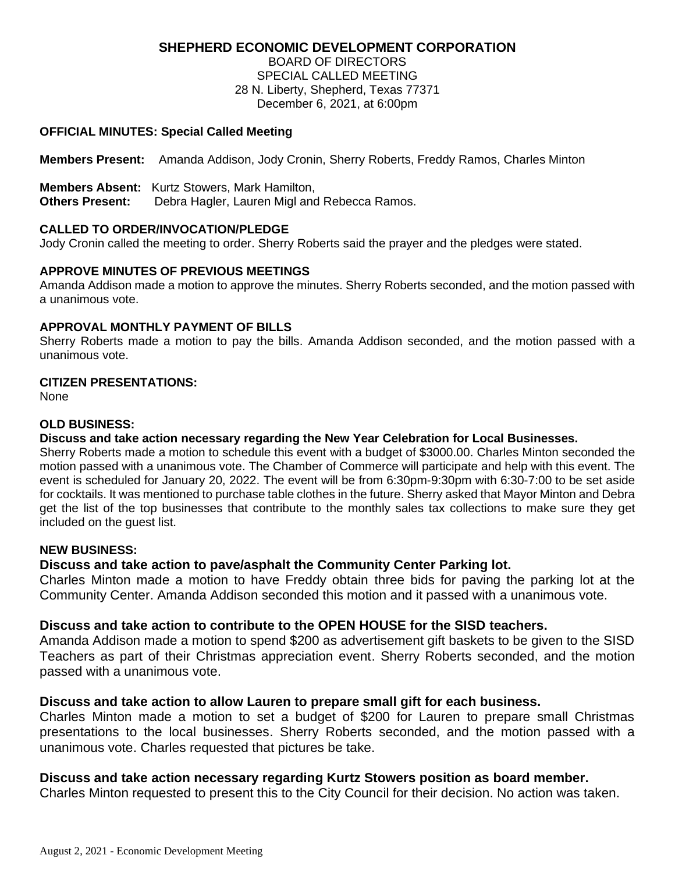# **SHEPHERD ECONOMIC DEVELOPMENT CORPORATION**

BOARD OF DIRECTORS SPECIAL CALLED MEETING 28 N. Liberty, Shepherd, Texas 77371 December 6, 2021, at 6:00pm

### **OFFICIAL MINUTES: Special Called Meeting**

**Members Present:** Amanda Addison, Jody Cronin, Sherry Roberts, Freddy Ramos, Charles Minton

**Members Absent:** Kurtz Stowers, Mark Hamilton,

**Others Present:** Debra Hagler, Lauren Migl and Rebecca Ramos.

### **CALLED TO ORDER/INVOCATION/PLEDGE**

Jody Cronin called the meeting to order. Sherry Roberts said the prayer and the pledges were stated.

# **APPROVE MINUTES OF PREVIOUS MEETINGS**

Amanda Addison made a motion to approve the minutes. Sherry Roberts seconded, and the motion passed with a unanimous vote.

# **APPROVAL MONTHLY PAYMENT OF BILLS**

Sherry Roberts made a motion to pay the bills. Amanda Addison seconded, and the motion passed with a unanimous vote.

### **CITIZEN PRESENTATIONS:**

None

# **OLD BUSINESS:**

# **Discuss and take action necessary regarding the New Year Celebration for Local Businesses.**

Sherry Roberts made a motion to schedule this event with a budget of \$3000.00. Charles Minton seconded the motion passed with a unanimous vote. The Chamber of Commerce will participate and help with this event. The event is scheduled for January 20, 2022. The event will be from 6:30pm-9:30pm with 6:30-7:00 to be set aside for cocktails. It was mentioned to purchase table clothes in the future. Sherry asked that Mayor Minton and Debra get the list of the top businesses that contribute to the monthly sales tax collections to make sure they get included on the guest list.

#### **NEW BUSINESS:**

# **Discuss and take action to pave/asphalt the Community Center Parking lot.**

Charles Minton made a motion to have Freddy obtain three bids for paving the parking lot at the Community Center. Amanda Addison seconded this motion and it passed with a unanimous vote.

# **Discuss and take action to contribute to the OPEN HOUSE for the SISD teachers.**

Amanda Addison made a motion to spend \$200 as advertisement gift baskets to be given to the SISD Teachers as part of their Christmas appreciation event. Sherry Roberts seconded, and the motion passed with a unanimous vote.

# **Discuss and take action to allow Lauren to prepare small gift for each business.**

Charles Minton made a motion to set a budget of \$200 for Lauren to prepare small Christmas presentations to the local businesses. Sherry Roberts seconded, and the motion passed with a unanimous vote. Charles requested that pictures be take.

# **Discuss and take action necessary regarding Kurtz Stowers position as board member.**

Charles Minton requested to present this to the City Council for their decision. No action was taken.